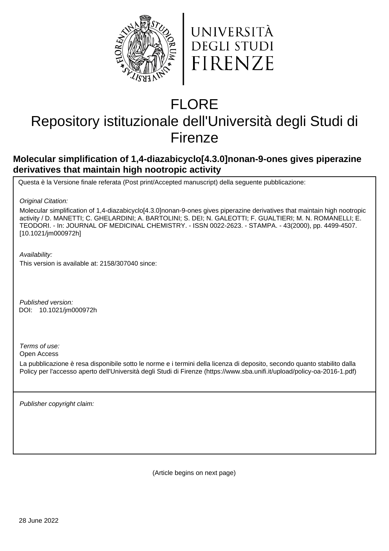



# FLORE

## Repository istituzionale dell'Università degli Studi di Firenze

## **Molecular simplification of 1,4-diazabicyclo[4.3.0]nonan-9-ones gives piperazine derivatives that maintain high nootropic activity**

Questa è la Versione finale referata (Post print/Accepted manuscript) della seguente pubblicazione:

Original Citation:

Molecular simplification of 1,4-diazabicyclo[4.3.0]nonan-9-ones gives piperazine derivatives that maintain high nootropic activity / D. MANETTI; C. GHELARDINI; A. BARTOLINI; S. DEI; N. GALEOTTI; F. GUALTIERI; M. N. ROMANELLI; E. TEODORI. - In: JOURNAL OF MEDICINAL CHEMISTRY. - ISSN 0022-2623. - STAMPA. - 43(2000), pp. 4499-4507. [10.1021/jm000972h]

Availability:

This version is available at: 2158/307040 since:

Published version: 10.1021/jm000972h DOI:

Terms of use:

Open Access

La pubblicazione è resa disponibile sotto le norme e i termini della licenza di deposito, secondo quanto stabilito dalla Policy per l'accesso aperto dell'Università degli Studi di Firenze (https://www.sba.unifi.it/upload/policy-oa-2016-1.pdf)

Publisher copyright claim:

(Article begins on next page)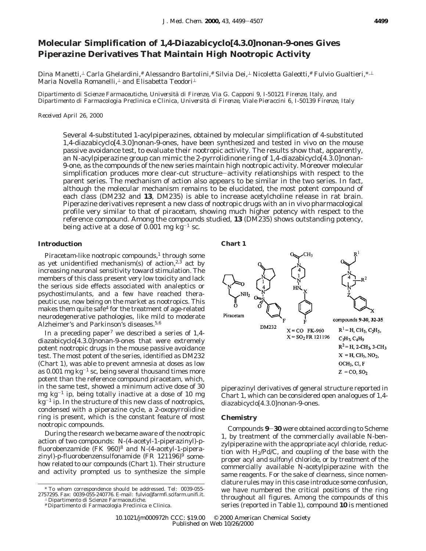### **Molecular Simplification of 1,4-Diazabicyclo[4.3.0]nonan-9-ones Gives Piperazine Derivatives That Maintain High Nootropic Activity**

Dina Manetti,⊥ Carla Ghelardini,# Alessandro Bartolini,# Silvia Dei,⊥ Nicoletta Galeotti,# Fulvio Gualtieri,\*<sup>,⊥</sup> Maria Novella Romanelli,<sup>⊥</sup> and Elisabetta Teodori<sup>⊥</sup>

*Dipartimento di Scienze Farmaceutiche, Universita*` *di Firenze, Via G. Capponi 9, I-50121 Firenze, Italy, and Dipartimento di Farmacologia Preclinica e Clinica, Universita*` *di Firenze, Viale Pieraccini 6, I-50139 Firenze, Italy*

*Received April 26, 2000*

Several 4-substituted 1-acylpiperazines, obtained by molecular simplification of 4-substituted 1,4-diazabicyclo[4.3.0]nonan-9-ones, have been synthesized and tested in vivo on the mouse passive avoidance test, to evaluate their nootropic activity. The results show that, apparently, an *N*-acylpiperazine group can mimic the 2-pyrrolidinone ring of 1,4-diazabicyclo<sup>[4.3.0]</sup>nonan-9-one, as the compounds of the new series maintain high nootropic activity. Moreover molecular simplification produces more clear-cut structure-activity relationships with respect to the parent series. The mechanism of action also appears to be similar in the two series. In fact, although the molecular mechanism remains to be elucidated, the most potent compound of each class (DM232 and **13**, DM235) is able to increase acetylcholine release in rat brain. Piperazine derivatives represent a new class of nootropic drugs with an in vivo pharmacological profile very similar to that of piracetam, showing much higher potency with respect to the reference compound. Among the compounds studied, **13** (DM235) shows outstanding potency, being active at a dose of  $0.001$  mg kg<sup>-1</sup> sc.

#### **Introduction**

Piracetam-like nootropic compounds, $1$  through some as yet unidentified mechanism(s) of action,<sup>2,3</sup> act by increasing neuronal sensitivity toward stimulation. The members of this class present very low toxicity and lack the serious side effects associated with analeptics or psychostimulants, and a few have reached therapeutic use, now being on the market as nootropics. This makes them quite safe<sup>4</sup> for the treatment of age-related neurodegenerative pathologies, like mild to moderate Alzheimer's and Parkinson's diseases.<sup>5,6</sup>

In a preceding paper<sup>7</sup> we described a series of  $1,4$ diazabicyclo[4.3.0]nonan-9-ones that were extremely potent nootropic drugs in the mouse passive avoidance test. The most potent of the series, identified as DM232 (Chart 1), was able to prevent amnesia at doses as low as 0.001 mg  $kg^{-1}$  sc, being several thousand times more potent than the reference compound piracetam, which, in the same test, showed a minimum active dose of 30 mg  $kg^{-1}$  ip, being totally inactive at a dose of 10 mg  $kg<sup>-1</sup>$  ip. In the structure of this new class of nootropics, condensed with a piperazine cycle, a 2-oxopyrrolidine ring is present, which is the constant feature of most nootropic compounds.

During the research we became aware of the nootropic action of two compounds: *N*-(4-acetyl-1-piperazinyl)-*p*fluorobenzamide (FK 960)8 and *N*-(4-acetyl-1-piperazinyl)-*p*-fluorobenzensulfonamide (FR 121196)9 somehow related to our compounds (Chart 1). Their structure and activity prompted us to synthesize the simple





piperazinyl derivatives of general structure reported in Chart 1, which can be considered open analogues of 1,4 diazabicyclo[4.3.0]nonan-9-ones.

#### **Chemistry**

Compounds **<sup>9</sup>**-**<sup>30</sup>** were obtained according to Scheme 1, by treatment of the commercially available *N*-benzylpiperazine with the appropriate acyl chloride, reduction with  $H_2$ /Pd/C, and coupling of the base with the proper acyl and sulfonyl chloride, or by treatment of the commercially available *N*-acetylpiperazine with the same reagents. For the sake of clearness, since nomenclature rules may in this case introduce some confusion, we have numbered the critical positions of the ring throughout all figures. Among the compounds of this series (reported in Table 1), compound **10** is mentioned

<sup>\*</sup> To whom correspondence should be addressed. Tel: 0039-055- 2757295. Fax: 0039-055-240776. E-mail: fulvio@farmfi.scifarm.unifi.it.

<sup>⊥</sup> Dipartimento di Scienze Farmaceutiche.

<sup>#</sup> Dipartimento di Farmacologia Preclinica e Clinica.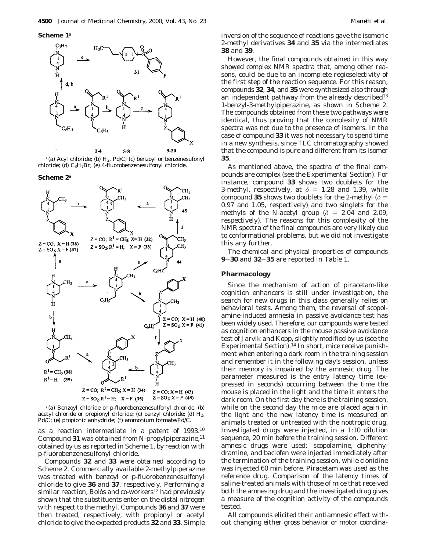**Scheme 1***<sup>a</sup>*



*a* (a) Acyl chloride; (b) H<sub>2</sub>, Pd/C; (c) benzoyl or benzenesufonyl chloride; (d)  $C_3H_7Br$ ; (e) 4-fluorobenzenesulfonyl chloride.

**Scheme 2***<sup>a</sup>*



*<sup>a</sup>* (a) Benzoyl chloride or *p*-fluorobenzenesulfonyl chloride; (b) acetyl chloride or propionyl chloride; (c) benzyl chloride; (d)  $H_2$ , Pd/C; (e) propionic anhydride; (f) ammonium formate/Pd/C.

as a reaction intermediate in a patent of 1993.10 Compound 31 was obtained from *N*-propylpiperazine,<sup>11</sup> obtained by us as reported in Scheme 1, by reaction with *p*-fluorobenzenesulfonyl chloride.

Compounds **32** and **33** were obtained according to Scheme 2. Commercially available 2-methylpiperazine was treated with benzoyl or *p*-fluorobenzenesulfonyl chloride to give **36** and **37**, respectively. Performing a similar reaction, Bolòs and co-workers<sup>12</sup> had previously shown that the substituents enter on the distal nitrogen with respect to the methyl. Compounds **36** and **37** were then treated, respectively, with propionyl or acetyl chloride to give the expected products **32** and **33**. Simple

inversion of the sequence of reactions gave the isomeric 2-methyl derivatives **34** and **35** via the intermediates **38** and **39**.

However, the final compounds obtained in this way showed complex NMR spectra that, among other reasons, could be due to an incomplete regioselectivity of the first step of the reaction sequence. For this reason, compounds **32**, **34**, and **35** were synthesized also through an independent pathway from the already described<sup>13</sup> 1-benzyl-3-methylpiperazine, as shown in Scheme 2. The compounds obtained from these two pathways were identical, thus proving that the complexity of NMR spectra was not due to the presence of isomers. In the case of compound **33** it was not necessary to spend time in a new synthesis, since TLC chromatography showed that the compound is pure and different from its isomer **35**.

As mentioned above, the spectra of the final compounds are complex (see the Experimental Section). For instance, compound **33** shows two doublets for the 3-methyl, respectively, at  $\delta = 1.28$  and 1.39, while compound **35** shows two doublets for the 2-methyl ( $\delta$  = 0.97 and 1.05, respectively) and two singlets for the methyls of the *N*-acetyl group ( $\delta$  = 2.04 and 2.09, respectively). The reasons for this complexity of the NMR spectra of the final compounds are very likely due to conformational problems, but we did not investigate this any further.

The chemical and physical properties of compounds **<sup>9</sup>**-**<sup>30</sup>** and **<sup>32</sup>**-**<sup>35</sup>** are reported in Table 1.

#### **Pharmacology**

Since the mechanism of action of piracetam-like cognition enhancers is still under investigation, the search for new drugs in this class generally relies on behavioral tests. Among them, the reversal of scopolamine-induced amnesia in passive avoidance test has been widely used. Therefore, our compounds were tested as cognition enhancers in the mouse passive avoidance test of Jarvik and Kopp, slightly modified by us (see the Experimental Section).<sup>14</sup> In short, mice receive punishment when entering a dark room in the training session and remember it in the following day's session, unless their memory is impaired by the amnesic drug. The parameter measured is the entry latency time (expressed in seconds) occurring between the time the mouse is placed in the light and the time it enters the dark room. On the first day there is the training session, while on the second day the mice are placed again in the light and the new latency time is measured on animals treated or untreated with the nootropic drug. Investigated drugs were injected, in a 1:10 dilution sequence, 20 min before the training session. Different amnesic drugs were used: scopolamine, diphenhydramine, and baclofen were injected immediately after the termination of the training session, while clonidine was injected 60 min before. Piracetam was used as the reference drug. Comparison of the latency times of saline-treated animals with those of mice that received both the amnesing drug and the investigated drug gives a measure of the cognition activity of the compounds tested.

All compounds elicited their antiamnesic effect without changing either gross behavior or motor coordina-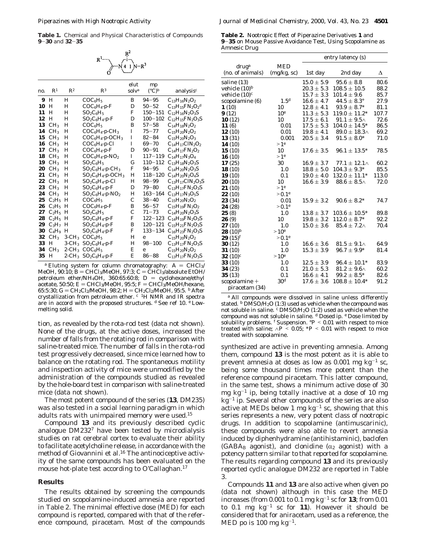**Table 1.** Chemical and Physical Characteristics of Compounds **<sup>9</sup>**-**<sup>30</sup>** and **<sup>32</sup>**-**<sup>35</sup>**



| no. | $\mathbb{R}^1$  | $\mathbb{R}^2$       | $\mathbb{R}^3$                       | elut<br>solv <sup>a</sup> | mp<br>$({}^{\circ}C)^b$ | analysis $c$               |
|-----|-----------------|----------------------|--------------------------------------|---------------------------|-------------------------|----------------------------|
| 9   | H               | н                    | $COC_6H_5$                           | B                         | $94 - 95$               | $C_{13}H_{16}N_2O_2$       |
| 10  | H               | Н                    |                                      | D                         | $50 - 52$               | $C_{13}H_{15}FN_2O_2^d$    |
| 11  | н               | н                    | $SO_2C_6H_5$                         | F                         | $150 - 151$             | $C_{12}H_{16}N_2O_3S$      |
| 12  | H               | Н                    | $SO_2C_6H_4$ -p-F                    | D                         | $100 - 102$             | $C_{12}H_{15}FN_2O_3S$     |
| 13  | CH <sub>3</sub> | н                    | COC <sub>6</sub> H <sub>5</sub>      | B                         | $57 - 58$               | $C_{14}H_{18}N_2O_2$       |
| 14  | CH <sub>3</sub> | Н                    | $COC_6H_4-p-CH_3$                    | I                         | $75 - 77$               | $C_{15}H_{20}N_2O_2$       |
| 15  | CH <sub>3</sub> | Н                    | $COC_6H_4-p-OCH_3$                   | I                         | $82 - 84$               | $C_{15}H_{20}N_2O_3$       |
| 16  | CH <sub>3</sub> | Н                    | $COC_6H_4-p-Cl$                      | I                         | $69 - 70$               | $C_{14}H_{17}C1N_2O_2$     |
| 17  | CH <sub>3</sub> | Н                    | $COC_6H_4-p-F$                       | D                         | $90 - 91$               | $C_{14}H_{17}FN_{2}O_{2}$  |
| 18  | CH <sub>3</sub> | Н                    | $COC_6H_4-p-NO_2$                    | I                         | 117–119                 | $C_{14}H_{17}N_3O_4$       |
| 19  | CH <sub>3</sub> | Н                    | $SO_2C_6H_5$                         | G                         | $110 - 112$             | $C_{13}H_{18}N_2O_3S$      |
| 20  | CH <sub>3</sub> | H                    | $SO_2C_6H_4$ -p-CH <sub>3</sub>      | F                         | $94 - 95$               | $C_{14}H_{20}N_2O_3S$      |
| 21  | CH <sub>3</sub> | Н                    | $SO_2C_6H_4$ - $p$ -OCH <sub>3</sub> | H                         | $118 - 120$             | $C_{14}H_{20}N_2O_4S$      |
| 22  | CH <sub>3</sub> | H                    | $SO_2C_6H_4$ -p-Cl                   | H                         | $98 - 99$               | $C_{13}H_{17}CIN_2O_3S$    |
| 23  | CH <sub>3</sub> | Н                    | $SO_2C_6H_4$ -p-F                    | D                         | $79 - 80$               | $C_{13}H_{17}FN_{2}O_{3}S$ |
| 24  | CH <sub>3</sub> | H                    | $SO_2C_6H_4$ - $p$ -NO <sub>2</sub>  | H                         | $163 - 164$             | $C_{13}H_{17}N_3O_5S$      |
| 25  | $C_2H_5$        | Н                    | COC <sub>6</sub> H <sub>5</sub>      | C                         | $38 - 40$               | $C_{15}H_{20}N_{2}O_{2}$   |
| 26  | $C_2H_5$        | Н                    | $COC_6H_4-p-F$                       | B                         | $56 - 57$               | $C_{15}H_{19}FN_{2}O_{2}$  |
| 27  | $C_2H_5$        | Н                    | $SO_2C_6H_5$                         | $\mathcal{C}$             | $71 - 73$               | $C_{14}H_{20}N_2O_3S$      |
| 28  | $C_2H_5$        | н                    | $SO_2C_6H_4$ -p-F                    | F                         | $122 - 123$             | $C_{14}H_{19}FN_{2}O_3S$   |
| 29  | $C_3H_7$        | Н                    | $SO_2C_6H_4$ -p-F                    | B                         | $120 - 121$             | $C_{15}H_{21}FN_{2}O_{3}S$ |
| 30  | $C_4H_9$        | Н                    | $SO_2C_6H_4$ -p-F                    | F                         | $133 - 134$             | $C_{16}H_{23}FN_{2}O_{3}S$ |
| 32  | CH <sub>3</sub> | $3$ -CH <sub>3</sub> | $COC_6H_5$                           | H                         | e                       | $C_{15}H_{20}N_2O_2$       |
| 33  | Н               | $3$ -CH <sub>3</sub> | $SO_2C_6H_4$ -p-F                    | H                         | $98 - 100$              | $C_{13}H_{17}FN_{2}O_{3}S$ |
| 34  | $CH_3$          | $2$ -CH <sub>3</sub> | $COC_6H_5$                           | E                         | e                       | $C_{15}H_{20}N_2O_2$       |
| 35  | н               | $2$ -CH <sub>3</sub> | $SO_2C_6H_4$ -p-F                    | E                         | $86 - 88$               | $C_{13}H_{17}FN_2O_3S$     |

<sup>*a*</sup> Eluting system for column chromatography:  $A = CHCl_3/$ <br>MeOH, 90:10;  $B = CHCl_3/$ MeOH, 97:3;  $C = CHCl_3/$ absolute EtOH/ MeOH, 90:10; B = CHCl3/MeOH, 97:3; C = CHCl3/absolute EtOH/<br>petroleum\_ether/NH.OH\_360:65:60:8:\_D\_=\_cyclobexane/etbyl petroleum ether/NH4OH, 360:65:60:8; D = cyclohexane/ethyl<br>acetate 50:50: E = CHCl2/MeOH 95:5: E = CHCl2/MeOH/hexane acetate, 50:50; E = CHCl<sub>3</sub>/MeOH, 95:5; F = CHCl<sub>3</sub>/MeOH/hexane,<br>65:5:30; G = CH<sub>2</sub>Cl<sub>2</sub>/MeOH, 98:2; H = CH<sub>2</sub>Cl<sub>2</sub>/MeOH, 95:5. b After 65:5:30; G ) CH2Cl2/MeOH, 98:2; H ) CH2Cl2/MeOH, 95:5. *<sup>b</sup>* After crystallization from petroleum ether. *<sup>c</sup>* 1H NMR and IR spectra are in accord with the proposed structures. *<sup>d</sup>* See ref 10. *<sup>e</sup>* Lowmelting solid.

tion, as revealed by the rota-rod test (data not shown). None of the drugs, at the active doses, increased the number of falls from the rotating rod in comparison with saline-treated mice. The number of falls in the rota-rod test progressively decreased, since mice learned how to balance on the rotating rod. The spontaneous motility and inspection activity of mice were unmodified by the administration of the compounds studied as revealed by the hole-board test in comparison with saline-treated mice (data not shown).

The most potent compound of the series (**13**, DM235) was also tested in a social learning paradigm in which adults rats with unimpaired memory were used.15

Compound **13** and its previously described cyclic analogue DM2327 have been tested by microdialysis studies on rat cerebral cortex to evaluate their ability to facilitate acetylcholine release, in accordance with the method of Giovannini et al.<sup>16</sup> The antinociceptive activity of the same compounds has been evaluated on the mouse hot-plate test according to O'Callaghan.17

#### **Results**

The results obtained by screening the compounds studied on scopolamine-induced amnesia are reported in Table 2. The minimal effective dose (MED) for each compound is reported, compared with that of the reference compound, piracetam. Most of the compounds

**Table 2.** Nootropic Effect of Piperazine Derivatives **1** and **<sup>9</sup>**-**<sup>35</sup>** on Mouse Passive Avoidance Test, Using Scopolamine as Amnesic Drug

|                    |                  | entry latency (s) |                        |       |
|--------------------|------------------|-------------------|------------------------|-------|
| $\frac{d}{d}$      | <b>MED</b>       |                   |                        |       |
| (no. of animals)   | (mg/kg, sc)      | 1st day           | 2nd day                | Δ     |
| saline (13)        |                  | $15.0 \pm 5.9$    | $95.6 \pm 8.8$         | 80.6  |
| vehicle (10) $^b$  |                  | $20.3 \pm 5.3$    | $108.5 \pm 10.5$       | 88.2  |
| vehicle $(10)^c$   |                  | $15.7 \pm 3.3$    | $101.4 \pm 9.6$        | 85.7  |
| scopolamine (6)    | 1.5 <sup>d</sup> | $16.6 \pm 4.7$    | $44.5 \pm 8.3^{\circ}$ | 27.9  |
| 1(10)              | 10               | $12.8 \pm 4.1$    | $93.9 \pm 8.7*$        | 81.1  |
| 9(12)              | 10 <sup>e</sup>  | $11.3 \pm 5.3$    | $119.0 \pm 11.2*$      | 107.7 |
| 10(12)             | 10               | $17.5 \pm 6.1$    | $91.1 \pm 9.5 \wedge$  | 72.6  |
| 11 $(6)$           | 0.01             | $17.5 \pm 5.3$    | $104.0 \pm 14.5*$      | 86.5  |
| 12(10)             | 0.01             | $19.8 \pm 4.1$    | $89.0 \pm 18.3 \wedge$ | 69.2  |
| 13(31)             | 0.001            | $20.5 \pm 3.4$    | $91.5 \pm 8.0^*$       | 71.0  |
| 14(10)             | >1 <sup>e</sup>  |                   |                        |       |
| 15(10)             | 10               | $17.6 \pm 3.5$    | $96.1 \pm 13.5^*$      | 78.5  |
| 16(10)             | >1 <sup>e</sup>  |                   |                        |       |
| 17(25)             | 30               | $16.9 \pm 3.7$    | $77.1 \pm 12.1 \wedge$ | 60.2  |
| 18(10)             | 1.0              | $18.8 \pm 5.0$    | $104.3 \pm 9.3^*$      | 85.5  |
| 19 (10)            | 0.1              | $19.0 \pm 4.0$    | $132.0 \pm 11.1*$      | 113.0 |
| 20(10)             | 10               | $16.6 \pm 3.9$    | $88.6 \pm 8.5 \wedge$  | 72.0  |
| 21 (10)            | >1 <sup>e</sup>  |                   |                        |       |
| 22 (10)            | > 0.1e           |                   |                        |       |
| 23 (34)            | 0.01             | $15.9 \pm 3.2$    | $90.6 \pm 8.2^*$       | 74.7  |
| 24 (28)            | > 0.1e           |                   |                        |       |
| 25 (8)             | 1.0              | $13.8 \pm 3.7$    | $103.6 \pm 10.5^*$     | 89.8  |
| 26 (9)             | 10               | $19.8 \pm 3.2$    | $112.0 \pm 8.7*$       | 92.2  |
| 27(10)             | 1.0              | $15.0 \pm 3.6$    | $85.4 \pm 7.2 \wedge$  | 70.4  |
| 28 $(10)^b$        | >10 <sup>e</sup> |                   |                        |       |
| <b>29</b> $(15)^f$ | > 0.1e           |                   |                        |       |
| 30 (12)            | 1.0              | $16.6 \pm 3.6$    | $81.5 \pm 9.1 \wedge$  | 64.9  |
| 31 (10)            | 1.0              | $15.3 \pm 3.9$    | $96.7 \pm 9.9^*$       | 81.4  |
| 32 (10) $^c$       | >10 <sup>e</sup> |                   |                        |       |
| 33 (10)            | 1.0              | $12.5 \pm 3.9$    | $96.4 \pm 10.1*$       | 83.9  |
| 34 (23)            | 0.1              | $21.0 \pm 5.3$    | $81.2 \pm 9.6 \wedge$  | 60.2  |
| 35(13)             | 0.1              | $16.6 \pm 4.1$    | $99.2 \pm 8.5^{*}$     | 82.6  |
| scopolamine +      | 30 <sup>d</sup>  | $17.6 \pm 3.6$    | $108.8 \pm 10.4*$      | 91.2  |
| piracetam (34)     |                  |                   |                        |       |
|                    |                  |                   |                        |       |

*<sup>a</sup>* All compounds were dissolved in saline unless differently stated. <sup>*b*</sup> DMSO/H<sub>2</sub>O (1:3) used as vehicle when the compound was not soluble in saline. *<sup>c</sup>* DMSO/H2O (1:2) used as vehicle when the compound was not soluble in saline. *<sup>d</sup>* Dosed ip. *<sup>e</sup>* Dose limited by solubility problems. *<sup>f</sup>* Suspension. °*<sup>P</sup>* < 0.01 with respect to mice treated with saline;  $\land P \le 0.05$ ;  $*P \le 0.01$  with respect to mice treated with scopolamine.

synthesized are active in preventing amnesia. Among them, compound **13** is the most potent as it is able to prevent amnesia at doses as low as  $0.001$  mg kg<sup>-1</sup> sc, being some thousand times more potent than the reference compound piracetam. This latter compound, in the same test, shows a minimum active dose of 30 mg  $kg^{-1}$  ip, being totally inactive at a dose of 10 mg  $kg<sup>-1</sup>$  ip. Several other compounds of the series are also active at MEDs below 1 mg  $kg^{-1}$  sc, showing that this series represents a new, very potent class of nootropic drugs. In addition to scopolamine (antimuscarinic), these compounds were also able to revert amnesia induced by diphenhydramine (antihistaminic), baclofen (GABA<sub>B</sub> agonist), and clonidine ( $\alpha_2$  agonist) with a potency pattern similar to that reported for scopolamine. The results regarding compound **13** and its previously reported cyclic analogue DM232 are reported in Table 3.

Compounds **11** and **13** are also active when given po (data not shown) although in this case the MED increases (from  $0.001$  to  $0.1$  mg  $kg^{-1}$  sc for **13**; from  $0.01$ to  $0.1$  mg  $kg^{-1}$  sc for 11). However it should be considered that for aniracetam, used as a reference, the MED po is 100 mg  $kg^{-1}$ .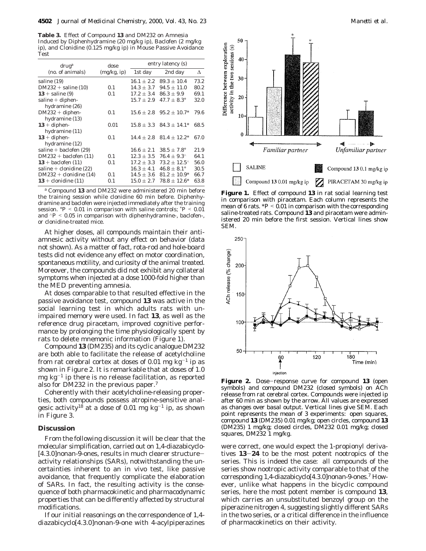**Table 3.** Effect of Compound **13** and DM232 on Amnesia Induced by Diphenhydramine (20 mg/kg ip), Baclofen (2 mg/kg ip), and Clonidine (0.125 mg/kg ip) in Mouse Passive Avoidance Test

| $\frac{d}{d}$             | dose        | entry latency (s) |                             |      |  |
|---------------------------|-------------|-------------------|-----------------------------|------|--|
| (no. of animals)          | (mg/kg, ip) | 1st day           | 2nd day                     | Л    |  |
| saline (19)               |             | $16.1 \pm 2.2$    | $89.3 \pm 10.4$             | 73.2 |  |
| $DM232 + saline(10)$      | 0.1         | $14.3 + 3.7$      | $94.5 + 11.0$               | 80.2 |  |
| $13 +$ saline (9)         | 0.1         | $17.2 \pm 3.4$    | $86.3 \pm 9.9$              | 69.1 |  |
| saline $+$ diphen-        |             | $15.7 + 2.9$      | $47.7 \pm 8.3^{\circ}$      | 32.0 |  |
| hydramine (26)            |             |                   |                             |      |  |
| $DM232 + diphen-$         | 0.1         | $15.6 + 2.8$      | $95.2 + 10.7*$              | 79.6 |  |
| hydramine (13)            |             |                   |                             |      |  |
| $13 + diphen-$            | 0.01        |                   | $15.8 + 3.3$ $84.3 + 14.1*$ | 68.5 |  |
| hydramine (11)            |             |                   |                             |      |  |
| $13 + diphen-$            | 0.1         | $14.4 + 2.8$      | $81.4 + 12.2*$              | 67.0 |  |
| hydramine (12)            |             |                   |                             |      |  |
| saline + baclofen $(29)$  |             | $16.6 + 2.1$      | $38.5 \pm 7.8^{\circ}$      | 21.9 |  |
| $DM232 + baclofen (11)$   | 0.1         | $12.3 \pm 3.5$    | $76.4 \pm 9.3^{\circ}$      | 64.1 |  |
| $13 + $ baclofen (11)     | 0.1         | $17.2 + 3.3$      | $73.2 + 12.5^{\circ}$       | 56.0 |  |
| saline + clonidine $(22)$ |             | $16.3 + 4.1$      | $46.8 + 8.1^{\circ}$        | 30.5 |  |
| $DM232 +$ clonidine (14)  | 0.1         | $14.5 \pm 3.6$    | $81.2 \pm 10.9*$            | 66.7 |  |
| $13 +$ clonidine (11)     | 0.1         | $15.0 \pm 2.7$    | $78.8 + 12.6*$              | 63.8 |  |

*<sup>a</sup>* Compound **13** and DM232 were administered 20 min before the training session while clonidine 60 min before. Diphenhydramine and baclofen were injected immediately after the training session.  ${}^{\circ}P$  < 0.01 in comparison with saline controls;  ${}^{\ast}P$  < 0.01 session. °*<sup>P</sup>* <sup>&</sup>lt; 0.01 in comparison with saline controls; \**<sup>P</sup>* < 0.01 and <sup>∧</sup>*<sup>P</sup>* < 0.05 in comparison with diphenhydramine-, baclofen-, or clonidine-treated mice.

At higher doses, all compounds maintain their antiamnesic activity without any effect on behavior (data not shown). As a matter of fact, rota-rod and hole-board tests did not evidence any effect on motor coordination, spontaneous motility, and curiosity of the animal treated. Moreover, the compounds did not exhibit any collateral symptoms when injected at a dose 1000-fold higher than the MED preventing amnesia.

At doses comparable to that resulted effective in the passive avoidance test, compound **13** was active in the social learning test in which adults rats with unimpaired memory were used. In fact **13**, as well as the reference drug piracetam, improved cognitive performance by prolonging the time physiologically spent by rats to delete mnemonic information (Figure 1).

Compound **13** (DM235) and its cyclic analogue DM232 are both able to facilitate the release of acetylcholine from rat cerebral cortex at doses of 0.01 mg  $kg^{-1}$  ip as shown in Figure 2. It is remarkable that at doses of 1.0 mg  $kg^{-1}$  ip there is no release facilitation, as reported also for DM232 in the previous paper.7

Coherently with their acetylcholine-releasing properties, both compounds possess atropine-sensitive analgesic activity<sup>18</sup> at a dose of 0.01 mg  $kg^{-1}$  ip, as shown in Figure 3.

#### **Discussion**

From the following discussion it will be clear that the molecular simplification, carried out on 1,4-diazabicyclo- [4.3.0]nonan-9-ones, results in much clearer structureactivity relationships (SARs), notwithstanding the uncertainties inherent to an in vivo test, like passive avoidance, that frequently complicate the elaboration of SARs. In fact, the resulting activity is the consequence of both pharmacokinetic and pharmacodynamic properties that can be differently affected by structural modifications.

If our initial reasonings on the correspondence of 1,4 diazabicyclo[4.3.0]nonan-9-one with 4-acylpiperazines



**Figure 1.** Effect of compound **13** in rat social learning test in comparison with piracetam. Each column represents the mean of 6 rats.  $*P < 0.01$  in comparison with the corresponding saline-treated rats. Compound **13** and piracetam were administered 20 min before the first session. Vertical lines show SEM.



**Figure 2.** Dose-response curve for compound **<sup>13</sup>** (open symbols) and compound DM232 (closed symbols) on ACh release from rat cerebral cortex. Compounds were injected ip after 60 min as shown by the arrow. All values are expressed as changes over basal output. Vertical lines give SEM. Each point represents the mean of 3 experiments: open squares, compound **13** (DM235) 0.01 mg/kg; open circles, compound **13** (DM235) 1 mg/kg; closed circles, DM232 0.01 mg/kg; closed squares, DM232 1 mg/kg.

were correct, one would expect the 1-propionyl derivatives **<sup>13</sup>**-**<sup>24</sup>** to be the most potent nootropics of the series. This is indeed the case: all compounds of the series show nootropic activity comparable to that of the corresponding 1,4-diazabicyclo[4.3.0]nonan-9-ones.7 However, unlike what happens in the bicyclic compound series, here the most potent member is compound **13**, which carries an unsubstituted benzoyl group on the piperazine nitrogen 4, suggesting slightly different SARs in the two series, or a critical difference in the influence of pharmacokinetics on their activity.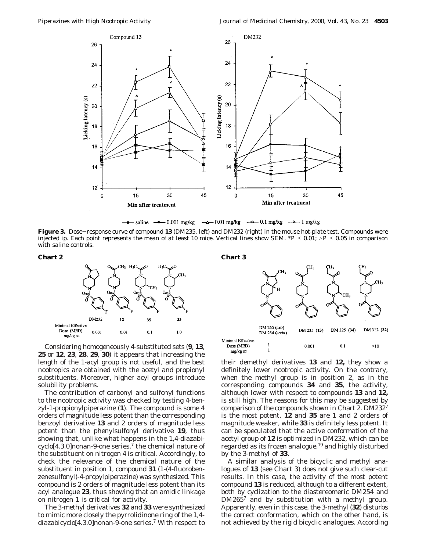

 $-\Delta$  0.01 mg/kg  $-\Delta$  0.1 mg/kg  $-\Delta$  1 mg/kg  $\frac{1}{\sqrt{2}}$  saline  $\frac{1}{\sqrt{2}}$  0.001 mg/kg

**Figure 3.** Dose-response curve of compound **<sup>13</sup>** (DM235, left) and DM232 (right) in the mouse hot-plate test. Compounds were injected ip. Each point represents the mean of at least 10 mice. Vertical lines show SEM. \**<sup>P</sup>* < 0.01; <sup>∧</sup>*<sup>P</sup>* < 0.05 in comparison with saline controls.





Considering homogeneously 4-substituted sets (**9**, **13**, **25** or **12**, **23**, **28**, **29**, **30**) it appears that increasing the length of the 1-acyl group is not useful, and the best nootropics are obtained with the acetyl and propionyl substituents. Moreover, higher acyl groups introduce solubility problems.

The contribution of carbonyl and sulfonyl functions to the nootropic activity was checked by testing 4-benzyl-1-propionylpiperazine (**1**). The compound is some 4 orders of magnitude less potent than the corresponding benzoyl derivative **13** and 2 orders of magnitude less potent than the phenylsulfonyl derivative **19**, thus showing that, unlike what happens in the 1,4-diazabi $cyclo[4.3.0]$ nonan-9-one series,<sup>7</sup> the chemical nature of the substituent on nitrogen 4 is critical. Accordingly, to check the relevance of the chemical nature of the substituent in position 1, compound **31** (1-(4-fluorobenzenesulfonyl)-4-propylpiperazine) was synthesized. This compound is 2 orders of magnitude less potent than its acyl analogue **23**, thus showing that an amidic linkage on nitrogen 1 is critical for activity.

The 3-methyl derivatives **32** and **33** were synthesized to mimic more closely the pyrrolidinone ring of the 1,4 diazabicyclo[4.3.0]nonan-9-one series.7 With respect to

**Chart 2 Chart 3**



their demethyl derivatives **13** and **12,** they show a definitely lower nootropic activity. On the contrary, when the methyl group is in position 2, as in the corresponding compounds **34** and **35**, the activity, although lower with respect to compounds **13** and **12,** is still high. The reasons for this may be suggested by comparison of the compounds shown in Chart 2. DM2327 is the most potent, **12** and **35** are 1 and 2 orders of magnitude weaker, while **33** is definitely less potent. It can be speculated that the active conformation of the acetyl group of **12** is optimized in DM232, which can be regarded as its frozen analogue, $19$  and highly disturbed by the 3-methyl of **33**.

A similar analysis of the bicyclic and methyl analogues of **13** (see Chart 3) does not give such clear-cut results. In this case, the activity of the most potent compound **13** is reduced, although to a different extent, both by cyclization to the diastereomeric DM254 and DM265<sup>7</sup> and by substitution with a methyl group. Apparently, even in this case, the 3-methyl (**32**) disturbs the correct conformation, which on the other hand, is not achieved by the rigid bicyclic analogues. According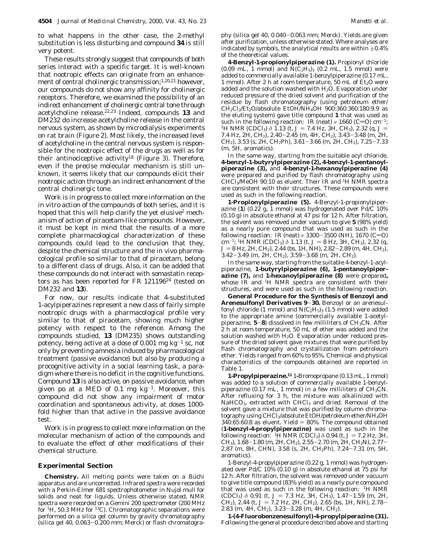to what happens in the other case, the 2-methyl substitution is less disturbing and compound **34** is still very potent.

These results strongly suggest that compounds of both series interact with a specific target. It is well-known that nootropic effects can originate from an enhancement of central cholinergic transmission;<sup>1,20,21</sup> however, our compounds do not show any affinity for cholinergic receptors. Therefore, we examined the possibility of an indirect enhancement of cholinergic central tone through acetylcholine release.22,23 Indeed, compounds **13** and DM232 do increase acetylcholine release in the central nervous system, as shown by microdialysis experiments on rat brain (Figure 2). Most likely, the increased level of acetylcholine in the central nervous system is responsible for the nootropic effect of the drugs as well as for their antinociceptive activity<sup>18</sup> (Figure 3). Therefore, even if the precise molecular mechanism is still unknown, it seems likely that our compounds elicit their nootropic action through an indirect enhancement of the central cholinergic tone.

Work is in progress to collect more information on the in vitro action of the compounds of both series, and it is hoped that this will help clarify the yet elusive<sup>2</sup> mechanism of action of piracetam-like compounds. However, it must be kept in mind that the results of a more complete pharmacological characterization of these compounds could lead to the conclusion that they, despite the chemical structure and the in vivo pharmacological profile so similar to that of piracetam, belong to a different class of drugs. Also, it can be added that these compounds do not interact with somastatin receptors as has been reported for FR 121196<sup>24</sup> (tested on DM232 and **13**).

For now, our results indicate that 4-substituted 1-acylpiperazines represent a new class of fairly simple nootropic drugs with a pharmacological profile very similar to that of piracetam, showing much higher potency with respect to the reference. Among the compounds studied, **13** (DM235) shows outstanding potency, being active at a dose of 0.001 mg  $kg^{-1}$  sc, not only by preventing amnesia induced by pharmacological treatment (passive avoidance) but also by producing a procognitive activity in a social learning task, a paradigm where there is no deficit in the cognitive functions. Compound **13** is also active, on passive avoidance, when given po at a MED of 0.1 mg  $kg^{-1}$ . Moreover, this compound did not show any impairment of motor coordination and spontaneous activity, at doses 1000 fold higher than that active in the passive avoidance test.

Work is in progress to collect more information on the molecular mechanism of action of the compounds and to evaluate the effect of other modifications of their chemical structure.

#### **Experimental Section**

**Chemistry.** All melting points were taken on a Büchi apparatus and are uncorrected. Infrared spectra were recorded with a Perkin-Elmer 681 spectrophotometer in Nujol mull for solids and neat for liquids. Unless otherwise stated, NMR spectra were recorded on a Gemini 200 spectrometer (200 MHz for <sup>1</sup>H, 50.3 MHz for <sup>13</sup>C). Chromatographic separations were performed on a silica gel column by gravity chromatography (silica gel 40, 0.063-0.200 mm; Merck) or flash chromatography (silica gel 40, 0.040-0.063 mm; Merck). Yields are given after purification, unless otherwise stated. Where analyses are indicated by symbols, the analytical results are within  $\pm 0.4\%$ of the theoretical values.

**4-Benzyl-1-propionylpiperazine (1).** Propionyl chloride (0.09 mL, 1 mmol) and  $N(C_2H_5)$ <sub>3</sub> (0.2 mL, 1.5 mmol) were added to commercially available 1-benzylpiperazine (0.17 mL, 1 mmol). After 2 h at room temperature, 50 mL of  $Et<sub>2</sub>O$  were added and the solution washed with  $H_2O$ . Evaporation under reduced pressure of the dried solvent and purification of the residue by flash chromatography (using petroleum ether/  $CH_2Cl_2/Et_2O/absolute~EtOH/NH_4OH~900:360:360:180:9.9$  as the eluting system) gave title compound **1** that was used as such in the following reaction: IR (neat) *ν* 1660 (C=O) cm<sup>-1</sup>; <sup>1</sup>H NMR (CDCl<sub>3</sub>) *δ* 1.13 (t, *J* = 7.4 Hz, 3H, CH<sub>3</sub>), 2.32 (q, *J* = 7.4 Hz, 2H, CH2), 2.40-2.45 (m, 4H, CH2), 3.43-3.48 (m, 2H, CH<sub>2</sub>), 3.53 (s, 2H, CH<sub>2</sub>Ph), 3.61-3.66 (m, 2H, CH<sub>2</sub>), 7.25-7.33 (m, 5H, aromatics).

In the same way, starting from the suitable acyl chloride, **4-benzyl-1-butyrylpiperazine (2), 4-benzyl-1-pentanoylpiperazine (3),** and **4-benzyl-1-hexanoylpiperazine (4)** were prepared and purified by flash chromatography using CHCl3/MeOH 90:10 as eluent. Their IR and 1H NMR spectra are consistent with their structures. These compounds were used as such in the following reaction.

**1-Propionylpiperazine (5).** 4-Benzyl-1-propionylpiperazine (**1**) (0.22 g, 1 mmol) was hydrogenated over Pd/C 10% (0.10 g) in absolute ethanol at 47 psi for 12 h. After filtration, the solvent was removed under vacuum to give **5** (98% yield) as a nearly pure compound that was used as such in the following reaction: IR (neat) *v* 3300-3500 (NH), 1670 (C=O) cm<sup>-1</sup>; <sup>1</sup>H NMR (CDCl<sub>3</sub>)  $\delta$  1.13 (t,  $J = 8$  Hz, 3H, CH<sub>3</sub>), 2.32 (q, cm<sup>-1</sup>; <sup>1</sup>H NMR (CDCl<sub>3</sub>)  $\delta$  1.13 (t,  $J = 8$  Hz, 3H, CH<sub>3</sub>), 2.32 (q,  $J = 8$  Hz, 2H CH<sub>2</sub>) 2.44 (hs, 1H NH) 2.82-2.89 (m, 4H CH<sub>2</sub>) *J* = 8 Hz, 2H, CH<sub>2</sub>), 2.44 (bs, 1H, NH), 2.82–2.89 (m, 4H, CH<sub>2</sub>), 3.42–3.49 (m, 2H, CH<sub>2</sub>), 3.42-3.49 (m, 2H, CH2), 3.59-3.68 (m, 2H, CH2).

In the same way, starting from the suitable 4-benzyl-1-acylpiperazine, **1-butyrylpiperazine (6), 1-pentanoylpiperazine (7),** and **1-hexanoylpiperazine (8)** were prepared**,** whose IR and 1H NMR spectra are consistent with their structures, and were used as such in the following reaction.

**General Procedure for the Synthesis of Benzoyl and Arenesulfonyl Derivatives 9**-**30.** Benzoyl or an arenesulfonyl chloride (1 mmol) and  $N(C_2H_5)_3$  (1.5 mmol) were added to the appropriate amine (commercially available 1-acetylpiperazine,  $5-8$ ) dissolved in few milliliters of  $CH<sub>3</sub>CN$ . After 2 h at room temperature, 50 mL of ether was added and the solution washed with  $H_2O$ . Evaporation under reduced pressure of the dried solvent gave mixtures that were purified by flash chromatography and crystallization from petroleum ether. Yields ranged from 60% to 95%. Chemical and physical characteristics of the compounds obtained are reported in Table 1.

**1-Propylpiperazine.11** 1**-**Bromopropane (0.13 mL, 1 mmol) was added to a solution of commercially available 1-benzylpiperazine (0.17 mL, 1 mmol) in a few milliliters of CH3CN. After refluxing for 3 h, the mixture was alkalinized with NaHCO<sub>3</sub>, extracted with CHCl<sub>3</sub> and dried. Removal of the solvent gave a mixture that was purified by column chromatography using CHCl3/absolute EtOH/petroleum ether/NH4OH  $340:65:60:8$  as eluent. Yield  $= 80\%$ . The compound obtained (**1-benzyl-4-propylpiperazine)** was used as such in the following reaction: <sup>1</sup>H NMR (CDCl<sub>3</sub>)  $\delta$  0.94 (t, *J* = 7.2 Hz, 3H, CH<sub>3</sub>), 1.68-1.80 (m, 2H, CH<sub>2</sub>), 2.55-2.70 (m, 2H, CH<sub>2</sub>N), 2.77-2.87 (m, 8H, CHN), 3.58 (s, 2H, CH2Ph), 7.24-7.31 (m, 5H, aromatics).

1-Benzyl-4-propylpiperazine (0.22 g, 1 mmol) was hydrogenated over Pd/C  $10\%$  (0.10 g) in absolute ethanol at 75 psi for 12 h. After filtration, the solvent was removed under vacuum to give title compound (83% yield) as a nearly pure compound that was used as such in the following reaction: 1H NMR  $(CDCl_3)$   $\delta$  0.91 (t,  $J = 7.3$  Hz, 3H, CH<sub>3</sub>), 1.47-1.59 (m, 2H, CH<sub>2</sub>), 2.44 (t,  $J = 7.2$  Hz, 2H, CH<sub>2</sub>), 2.65 (bs, 1H, NH), 2.78-2.83 (m, 4H, CH2), 3.23-3.28 (m, 4H, CH2).

**1-(4-Fluorobenzenesulfonyl)-4-propylpiperazine (31).** Following the general procedure described above and starting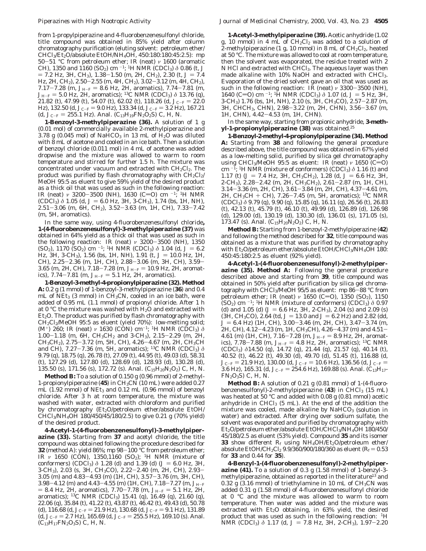from 1-propylpiperazine and 4-fluorobenzenesulfonyl chloride, title compound was obtained in 85% yield after column chromatography purification (eluting solvent: petroleum ether/ CHCl3/Et2O/absolute EtOH/NH4OH, 450:180:180:45:2.5): mp <sup>50</sup>-51 °C from petroleum ether; IR (neat) *<sup>ν</sup>* 1600 (aromatic CH), 1350 and 1160 (SO<sub>2</sub>) cm<sup>-1</sup>; <sup>1</sup>H NMR (CDCl<sub>3</sub>)  $\delta$  0.86 (t, *J*  $= 7.2$  Hz, 3H, CH<sub>3</sub>), 1.38-1.50 (m, 2H, CH<sub>2</sub>), 2.30 (t,  $J = 7.4$ Hz, 2H, CH2), 2.50-2.55 (m, 4H, CH2), 3.02-3.12 (m, 4H, CH2), 7.17-7.28 (m,  $J_{\text{H-F}} = 8.6$  Hz, 2H, aromatics), 7.74-7.81 (m,  $J_{\text{H-F}} = 5.0$  Hz, 2H, aromatics)<sup>, 13</sup>C, NMR (CDCl<sub>2</sub>)  $\delta$  13.76 (g) *J*<sub>H-F</sub> = 5.0 Hz, 2H, aromatics); <sup>13</sup>C NMR (CDCl<sub>3</sub>)  $\delta$  13.76 (q), 21.82 (t) 47.99 (t) 54.07 (t) 62.02 (t) 118.26 (d)  $L_{\text{c}} = 22.0$ 21.82 (t), 47.99 (t), 54.07 (t), 62.02 (t), 118.26 (d,  $J_{\text{C-F}} = 22.0$ Hz), 132.50 (d,  $J_{C-F} = 9.0$  Hz), 133.34 (d,  $J_{C-F} = 3.2$  Hz), 167.21 (d,  $J_{C-F} = 255.1$  Hz). Anal. (C<sub>13</sub>H<sub>19</sub>FN<sub>2</sub>O<sub>2</sub>S) C, H, N.

**1-Benzoyl-3-methylpiperazine (36).** A solution of 1 g (0.01 mol) of commercially available 2-methylpiperazine and 3.78 g (0.045 mol) of NaHCO<sub>3</sub> in 13 mL of  $H<sub>2</sub>O$  was diluted with 8 mL of acetone and cooled in an ice bath. Then a solution of benzoyl chloride (0.011 mol) in 4 mL of acetone was added dropwise and the mixture was allowed to warm to room temperature and stirred for further 1.5 h. The mixture was concentrated under vacuum and extracted with CH<sub>2</sub>Cl<sub>2</sub>. The product was purified by flash chromatography with  $CH_2Cl_2/$ MeOH 95:5 as eluent to give 59% yield of the desired product as a thick oil that was used as such in the following reaction: IR (neat) *ν* 3200-3500 (NH), 1630 (C=O) cm<sup>-1</sup>; <sup>1</sup>H NMR  $(CDCl_3$ )  $\delta$  1.05 (d,  $J = 6.0$  Hz, 3H, 3-CH<sub>3</sub>), 1.74 (bs, 1H, NH), 2.51-3.06 (m, 6H, CH2), 3.52-3.63 (m, 1H, CH), 7.33-7.42 (m, 5H, aromatics).

In the same way, using 4-fluorobenzenesulfonyl chloride**, 1-(4-fluorobenzenesulfonyl)-3-methylpiperazine (37)** was obtained in 64% yield as a thick oil that was used as such in the following reaction: IR (neat) *ν* 3200–3500 (NH), 1350<br>(SO<sub>2</sub>) 1170 (SO<sub>2</sub>) cm<sup>-1, 1</sup>H NMR (CDCl<sub>2</sub>) δ 1.04 (d = 1 = 6.2 (SO<sub>2</sub>), 1170 (SO<sub>2</sub>) cm <sup>-1</sup>; <sup>1</sup>H NMR (CDCl<sub>3</sub>)  $\delta$  1.04 (d,  $J = 6.2$ )<br>Hz 3H 3-CH<sub>2</sub>) 1.56 (bs 1H NH) 1.91 (t  $J = 10.0$  Hz 1H Hz, 3H, 3-CH<sub>3</sub>), 1.56 (bs, 1H, NH), 1.91 (t,  $J = 10.0$  Hz, 1H, CH), 2.25-2.36 (m, 1H, CH), 2.88-3.06 (m, 3H, CH), 3.59- 3.65 (m, 2H, CH),  $7.18-7.28$  (m,  $J_{\text{H-F}} = 10.9$  Hz, 2H, aromatics), 7.74-7.81 (m,  $J_{H-F} = 5.1$  Hz, 2H, aromatics).

**1-Benzoyl-3-methyl-4-propionylpiperazine (32). Method A:** 0.2 g (1 mmol) of 1-benzoyl-3-methylpiperazine (**36**) and 0.4 mL of  $NEt_3$  (3 mmol) in  $CH_3CN$ , cooled in an ice bath, were added of 0.95 mL (1.1 mmol) of propionyl chloride. After 1 h at 0 °C the mixture was washed with  $H_2O$  and extracted with  $Et<sub>2</sub>O$ . The product was purified by flash chromatography with  $CH_2Cl_2/MeOH$  95:5 as eluent (yield 70%): low-melting solid; (M<sup>+</sup>) 260; IR (neat)  $ν$  1630 (CON) cm<sup>-1</sup>; <sup>1</sup>H NMR (CDCl<sub>3</sub>)  $δ$ 1.00-1.18 (m, 6H, *CH*3CH2 and 3-CH3), 2.15-2.29 (m, 2H, CH3*CH*2), 2.75-3.72 (m, 5H, CH), 4.26-4.67 (m, 2H, CH3*CH* and CH),  $7.27 - 7.36$  (m, 5H, aromatics); <sup>13</sup>C NMR (CDCl<sub>3</sub>)  $\delta$ 9.79 (q), 18.75 (q), 26.78 (t), 27.09 (t), 44.95 (t), 49.03 (d), 58.31 (t), 127.29 (d), 127.80 (d), 128.69 (d), 128.93 (d), 130.28 (d), 135.50 (s), 171.56 (s), 172.72 (s). Anal.  $(C_{15}H_{20}N_2O_2)$  C, H, N.

**Method B:** To a solution of 0.150 g (0.96 mmol) of 2-methyl-1-propionylpiperazine (**45**) in CH3CN (10 mL) were added 0.27 mL (1.92 mmol) of NEt3 and 0.12 mL (0.96 mmol) of benzoyl chloride. After 3 h at room temperature, the mixture was washed with water, extracted with chloroform and purified by chromatography (Et2O/petroleum ether/absolute EtOH/ CHCl3/NH4OH 180/450/45/180/2.5) to give 0.21 g (70% yield) of the desired product.

**4-Acetyl-1-(4-fluorobenzenesulfonyl)-3-methylpiperazine (33).** Starting from **37** and acetyl chloride, the title compound was obtained following the procedure described for **<sup>32</sup>** (method A): yield 86%; mp 98-100 °C from petroleum ether; IR *ν* 1650 (CON), 1350,1160 (SO<sub>2</sub>); <sup>1</sup>H NMR (mixture of conformers) (CDCl<sub>3</sub>)  $\delta$  1.28 (d) and 1.39 (d) ( $J = 6.0$  Hz, 3H, 3-CH3), 2.03 (s, 3H, CH3CO), 2.22-2.40 (m, 2H, CH), 2.93- 3.05 (m) and 4.83-4.93 (m) (1H, CH), 3.57-3.76 (m, 3H, CH), 3.98-4.12 (m) and 4.43-4.55 (m) (1H, CH), 7.18-7.27 (m,  $J_{H-F}$  $= 8.4$  Hz, 2H, aromatics), 7.70-7.78 (m,  $J_{\text{H-F}} = 5.1$  Hz, 2H, aromatics); <sup>13</sup>C NMR (CDCl<sub>3</sub>) 15.41 (q), 16.49 (q), 21.60 (q), 22.06 (q), 35.84 (t), 41.22 (t), 43.87 (t), 46.42 (t), 49.43 (d), 50.78 (d), 116.68 (d,  $J_{\text{C-F}} = 21.9 \text{ Hz}$ ), 130.68 (d,  $J_{\text{C-F}} = 9.1 \text{ Hz}$ ), 131.89 (d,  $J_{\text{C-F}} = 2.7 \text{ Hz}$ ), 165.69 (d,  $J_{\text{C-F}} = 255.5 \text{ Hz}$ ), 169.10 (s). Anal.  $(C_{13}H_{17}FN_2O_3S)$  C, H, N.

**1-Acetyl-3-methylpiperazine (39).** Acetic anhydride (1.02 g, 10 mmol) in 4 mL of CH2Cl2 was added to a solution of 2-methylpiperazine (1 g, 10 mmol) in 8 mL of  $CH_2Cl_2$ , heated at 50 °C. The mixture was allowed to cool at room temperature, then the solvent was evaporated, the residue treated with 2 N HCl and extracted with CHCl3. The aqueous layer was then made alkaline with 10% NaOH and extracted with CHCl<sub>3</sub>. Evaporation of the dried solvent gave an oil that was used as such in the following reaction: IR (neat) *<sup>ν</sup>* <sup>3300</sup>-3500 (NH), 1640 (C=O) cm <sup>-1</sup>; <sup>1</sup>H NMR (CDCl<sub>3</sub>)  $\delta$  1.07 (d, J = 5 Hz, 3H, 3-CH3) 1.76 (bs, 1H, NH), 2.10 (s, 3H, CH3CO), 2.57-2.87 (m, 3H, *CH*CH3, CHN), 2.98-3.22 (m, 2H, CHN), 3.56-3.67 (m, 1H, CHN), 4.42-4.53 (m, 1H, CHN).

In the same way, starting from propionic anhydride, **3-methyl-1-propionylpiperazine (38)** was obtained.25

**1-Benzoyl-2-methyl-4-propionylpiperazine (34). Method A:** Starting from **38** and following the general procedure described above, the title compound was obtained in 67% yield as a low-melting solid, purified by silica gel chromatography using CHCl<sub>3</sub>/MeOH 95:5 as eluent: IR (neat) *ν* 1650 (C=O) cm  $^{-1}$ ; <sup>1</sup>H NMR (mixture of conformers) (CDCl<sub>3</sub>)  $\delta$  1.16 (t) and 1.17 (t)  $(J = 7.4$  Hz, 3H,  $CH_3CH_2$ ), 1.28 (d,  $J = 6.6$  Hz, 3H, 2-CH3), 2.28-2.42 (m, 2H, CH3*CH*2), 2.61-2.87 (m, 1H, CH), 3.14-3.36 (m, 2H, CH), 3.61-3.84 (m, 2H, CH), 4.37-4.61 (m, 2H, CH3*CH* + CH), 7.26-7.45 (m, 5H, aromatics); 13C NMR (CDCl3) *δ* 9.79 (q), 9.90 (q), 15.85 (q), 16.11 (q), 26.56 (t), 26.83 (t), 42.13 (t), 45.79 (t), 46.10 (t), 49.99 (d), 126.89 (d), 126.98 (d), 129.00 (d), 130.19 (d), 130.30 (d), 136.01 (s), 171.05 (s), 173.47 (s). Anal. (C15H20N2O2) C, H, N.

**Method B:** Starting from 1-benzoyl-2-methylpiperazine (**42**) and following the method described for **32**, title compound was obtained as a mixture that was purified by chromatography with  $Et_2O/petroleum ether/absolute EtOH/CHCl<sub>3</sub>/NH<sub>4</sub>OH 180:$ 450:45:180:2.5 as eluent (92% yield).

**4-Acetyl-1-(4-fluorobenzenesulfonyl)-2-methylpiperazine (35). Method A:** Following the general procedure described above and starting from **39**, title compound was obtained in 50% yield after purification by silica gel chromatography with  $CHCl<sub>3</sub>/MeOH$  95/5 as eluent: mp 86-88 °C from petroleum ether; IR (neat) *ν* 1650 (C=O), 1350 (SO<sub>2</sub>), 1150  $(SO<sub>2</sub>)$  cm <sup>-1</sup>; <sup>1</sup>H NMR (mixture of conformers) (CDCl<sub>3</sub>)  $\delta$  0.97 (d) and 1.05 (d)  $(J = 6.6 \text{ Hz}, 3H, 2\text{-}CH_3)$ , 2.04 (s) and 2.09 (s)  $(3H, CH<sub>3</sub>CO), 2.64$  (td,  $J = 13.0$  and  $J = 6.2$  Hz) and 2.82 (dd,  $J = 6.4$  Hz) (1H, CH),  $3.00 - 3.46$  (m, 2H, CH),  $3.47 - 3.74$  (m, 2H, CH), 4.12-4.23 (m, 1H, CH3*CH*), 4.26-4.37 (m) and 4.51- 4.61 (m) (1H, CH), 7.16-7.28 (m,  $J_{H-F} = 8.9$  Hz, 2H, aromatics), 7.78-7.88 (m,  $J_{\text{H-F}} = 4.8$  Hz, 2H, aromatics); <sup>13</sup>C NMR (CDCl3) *δ*14.50 (q), 14.72 (q), 21.44 (q), 21.57 (q), 40.14 (t), 40.52 (t), 46.22 (t), 49.30 (d), 49.70 (d), 51.45 (t), 116.88 (d,  $J_{\text{C-F}} = 21.9 \text{ Hz}$ ), 130.00 (d,  $J_{\text{C-F}} = 10.6 \text{ Hz}$ ), 136.56 (d,  $J_{\text{C-F}} =$ 3.6 Hz), 165.31 (d,  $J_{\text{C-F}} = 254.6$  Hz), 169.88 (s). Anal. (C<sub>13</sub>H<sub>17</sub>- $FN<sub>2</sub>O<sub>3</sub>S)$  C, H, N.

**Method B:** A solution of 0.21 g (0.81 mmol) of 1-(4-fluorobenzenesulfonyl)-2-methylpiperazine (43) in CHCl<sub>3</sub> (15 mL) was heated at 50 °C and added with 0.08 g (0.81 mmol) acetic anhydride in  $CHCl<sub>3</sub>$  (5 mL). At the end of the addition the mixture was cooled, made alkaline by  $NAHCO<sub>3</sub>$  (solution in water) and extracted. After drying over sodium sulfate, the solvent was evaporated and purified by chromatography with Et2O/petroleum ether/absolute EtOH/CHCl3/NH4OH 180/450/ 45/180/2.5 as eluent (53% yield). Compound **35** and its isomer **33** show different  $R_f$  using NH<sub>4</sub>OH/Et<sub>2</sub>O/petroleum ether/ absolute EtOH/CH<sub>2</sub>Cl<sub>2</sub> 9.9/360/900/180/360 as eluent ( $R_f$  = 0.53 for **33** and 0.44 for **35**).

**4-Benzyl-1-(4-fluorobenzenesulfonyl)-2-methylpiperazine (41).** To a solution of 0.3 g (1.58 mmol) of 1-benzyl-3 methylpiperazine, obtained as reported in the literature<sup>13</sup> and 0.32 g  $(3.16 \text{ mmol})$  of triethylamine in 10 mL of CH<sub>3</sub>CN was added 0.31 g (1.58 mmol) of 4-fluorobenzenesulfonyl chloride at 0 °C and the mixture was allowed to warm to room temperature. Then water was added and the mixture was extracted with  $Et_2O$  obtaining, in 63% yield, the desired product that was used as such in the following reaction: <sup>1</sup>H NMR (CDCl<sub>3</sub>)  $\delta$  1.17 (d,  $J = 7.8$  Hz, 3H, 2-CH<sub>3</sub>), 1.97-2.20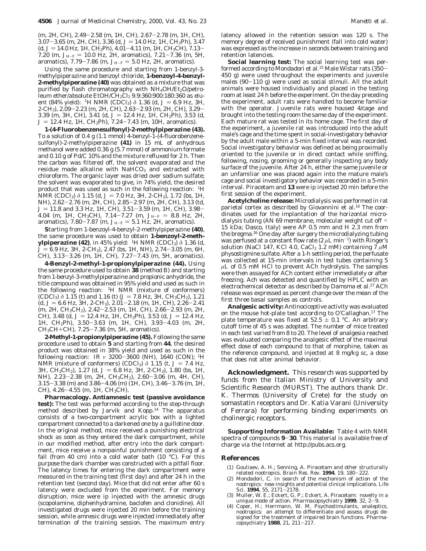(m, 2H, CH), 2.49-2.58 (m, 1H, CH), 2.67-2.78 (m, 1H, CH), 3.07-3.65 (m, 2H, CH), 3.36 (d,  $J = 14.0$  Hz, 1H, CH<sub>2</sub>Ph), 3.47 (d,  $J = 14.0$  Hz, 1H, CH<sub>2</sub>Ph), 4.01-4.11 (m, 1H, CH<sub>3</sub>CH), 7.13-7.20 (m,  $J_{H-F} = 10.0$  Hz, 2H, aromatics), 7.21-7.36 (m, 5H, aromatics), 7.79-7.86 (m,  $J_{H-F} = 5.0$  Hz, 2H, aromatics).

Using the same procedure and starting from 1-benzyl-3 methylpiperazine and benzoyl chloride, **1-benzoyl-4-benzyl-2-methylpiperazine (40)** was obtained as a mixture that was purified by flash chromatography with  $NH<sub>4</sub>OH/Et<sub>2</sub>O/petro$ leum ether/absolute EtOH/CH<sub>2</sub>Cl<sub>2</sub> 9.9:360:900:180:360 as eluent (84% yield): <sup>1</sup>H NMR (CDCl<sub>3</sub>)  $\delta$  1.36 (d, *J* = 6.9 Hz, 3H, 2-CH3), 2.09-2.23 (m, 2H, CH), 2.63-2.93 (m, 2H, CH), 3.29- 3.39 (m, 3H, CH), 3.41 (d,  $J = 12.4$  Hz, 1H, CH<sub>2</sub>Ph), 3.53 (d,  $J = 12.4$  Hz, 1H, CH<sub>2</sub>Ph), 7.24-7.43 (m, 10H, aromatics).

**1-(4-Fluorobenzenesulfonyl)-2-methylpiperazine (43).** To a solution of 0.4 g (1.1 mmol) 4-benzyl-1-(4-fluorobenzenesulfonyl)-2-methylpiperazine **(41)** in 15 mL of anhydrous methanol were added 0.36 g (5.7 mmol) of ammonium formate and 0.10 g of Pd/C 10% and the mixture refluxed for 2 h. Then the carbon was filtered off, the solvent evaporated and the residue made alkaline with NaHCO<sub>3</sub> and extracted with chloroform. The organic layer was dried over sodium sulfate; the solvent was evaporated to give, in 74% yield, the desired product that was used as such in the following reaction: 1H NMR (CDCl<sub>3</sub>) *δ* 1.15 (d, *J* = 7.0 Hz, 3H, 2-CH<sub>3</sub>), 1.72 (bs, 1H, NH), 2.62-2.76 (m, 2H, CH), 2.85-2.97 (m, 2H, CH), 3.13 (td, *<sup>J</sup>* ) 11.8 and 3.3 Hz, 1H, CH), 3.51-3.59 (m, 1H, CH), 3.98- 4.04 (m, 1H, CH<sub>3</sub>CH), 7.14-7.27 (m,  $J_{H-F}$  = 8.8 Hz, 2H, aromatics), 7.80-7.87 (m,  $J_{H-F} = 5.1$  Hz, 2H, aromatics).

**S**tarting from 1-benzoyl-4-benzyl-2-methylpiperazine **(40)**, the same procedure was used to obtain **1-benzoyl-2-methylpiperazine (42)**, in 45% yield: 1H NMR (CDCl3) *δ* 1.36 (d,  $J = 6.9$  Hz, 3H, 2-CH<sub>3</sub>), 2.47 (bs, 1H, NH), 2.74-3.05 (m, 6H, CH), 3.13-3.26 (m, 1H, CH), 7.27-7.43 (m, 5H, aromatics).

**4-Benzyl-2-methyl-1-propionylpiperazine (44).** Using the same procedure used to obtain **38** (method B) and starting from 1-benzyl-3-methylpiperazine and propionic anhydride, the title compound was obtained in 95% yield and used as such in the following reaction: 1H NMR (mixture of conformers)  $(CDCI_3)$   $\delta$  1.15 (t) and 1.16 (t) ( $J = 7.8$  Hz, 3H,  $CH_3CH_2$ ), 1.21  $(d, J = 6.6$  Hz, 3H, 2-CH<sub>3</sub>), 2.01-2.18 (m, 1H, CH), 2.26-2.41 (m, 2H, CH3*CH*2), 2.42-2.53 (m, 1H, CH), 2.66-2.93 (m, 2H, CH), 3.48 (d,  $J = 12.4$  Hz, 1H, CH<sub>2</sub>Ph), 3.53 (d,  $J = 12.4$  Hz, 1H, CH2Ph), 3.50-3.63 (m, 1H, CH), 3.93-4.03 (m, 2H, CH3*CH*+CH), 7.25-7.36 (m, 5H, aromatics).

**2-Methyl-1-propionylpiperazine (45).** Following the same procedure used to obtain **5** and starting from **44**, the desired product was obtained in 38% yield and used as such in the following reaction: IR *<sup>ν</sup>* <sup>3200</sup>-3600 (NH), 1640 (CON); 1H NMR (mixture of conformers) (CDCl<sub>3</sub>)  $\delta$  1.15 (t,  $J = 7.4$  Hz, 3H, *CH*<sub>3</sub>CH<sub>2</sub>), 1.27 (d, *J* = 6.8 Hz, 3H, 2-CH<sub>3</sub>), 1.80 (bs, 1H, NH), 2.23-2.38 (m, 2H, CH3*CH*2), 2.60-3.06 (m, 4H, CH), 3.15-3.38 (m) and 3.86-4.06 (m) (1H, CH), 3.46-3.76 (m, 1H, CH), 4.26-4.55 (m, 1H, CH3*CH*).

**Pharmacology. Antiamnesic test (passive avoidance test):** The test was performed according to the step-through method described by Jarvik and Kopp.14 The apparatus consists of a two-compartment acrylic box with a lighted compartment connected to a darkened one by a guillotine door. In the original method, mice received a punishing electrical shock as soon as they entered the dark compartment, while in our modified method, after entry into the dark compartment, mice receive a nonpainful punishment consisting of a fall (from 40 cm) into a cold water bath  $(10 \text{ °C})$ . For this purpose the dark chamber was constructed with a pitfall floor. The latency times for entering the dark compartment were measured in the training test (first day) and after 24 h in the retention test (second day). Mice that did not enter after 60 s latency were excluded from the experiment. For memory disruption, mice were ip injected with the amnesic drugs (scopolamine, diphenhydramine, baclofen and clonidine). All investigated drugs were injected 20 min before the training session, while amnesic drugs were injected immediately after termination of the training session. The maximum entry

latency allowed in the retention session was 120 s. The memory degree of received punishment (fall into cold water) was expressed as the increase in seconds between training and retention latencies.

**Social learning test:** The social learning test was performed according to Mondadori et al.<sup>15</sup> Male Wistar rats (350-450 g) were used throughout the experiments and juvenile males  $(90-110)$  g) were used as social stimuli. All the adult animals were housed individually and placed in the testing room at least 24 h before the experiment. On the day preceding the experiment, adult rats were handled to become familiar with the operator. Juvenile rats were housed 4/cage and brought into the testing room the same day of the experiment. Each mature rat was tested in its home cage. The first day of the experiment, a juvenile rat was introduced into the adult male's cage and the time spent in social-investigatory behavior by the adult male within a 5-min fixed interval was recorded. Social investigatory behavior was defined as being proximally oriented to the juvenile or in direct contact while sniffing, following, nosing, grooming or generally inspecting any body surface of the juvenile. After 24 h, either the same juvenile or an unfamiliar one was placed again into the mature male's cage and social investigatory behavior was recorded in a 5-min interval. Piracetam and **13** were ip injected 20 min before the first session of the experiment.

**Acetylcholine release:** Microdialysis was performed in rat parietal cortex as described by Giovannini et al.<sup>16</sup> The coordinates used for the implantation of the horizontal microdialysis tubing (AN 69 membrane, molecular weight cut off < 15 kDa; Dasco, Italy) were AP 0.5 mm and H 2.3 mm from the bregma.26 One day after surgery the microdialyzing tubing was perfused at a constant flow rate  $(2 \mu L \text{ min}^{-1})$  with Ringer's solution (NaCl 147, KCl 4.0, CaCl<sub>2</sub> 1.2 mM) containing 7  $\mu$ M physostigmine sulfate. After a 1-h settling period, the perfusate was collected at 15-min intervals in test tubes containing 5  $\mu$ L of 0.5 mM HCl to prevent ACh hydrolysis. The samples were then assayed for ACh content either immediately or after freezing. Ach was detected and quantified by HPLC with an electrochemical detector as described by Damsma et al.<sup>27</sup> ACh release was expressed as percent change over the mean of the first three basal samples as controls.

**Analgesic activity:** Antinociceptive activity was evaluated on the mouse hot-plate test according to O'Callaghan.17 The plate temperature was fixed at  $52.5 \pm 0.1$  °C. An arbitrary cutoff time of 45 s was adopted. The number of mice treated in each test varied from 8 to 20. The level of analgesia reached was evaluated comparing the analgesic effect of the maximal effect dose of each compound to that of morphine, taken as the reference compound, and injected at 8 mg/kg sc, a dose that does not alter animal behavior.

**Acknowledgment.** This research was supported by funds from the Italian Ministry of University and Scientific Research (MURST). The authors thank Dr. K. Thermos (University of Crete) for the study on somastatin receptors and Dr. Katia Varani (University of Ferrara) for performing binding experiments on cholinergic receptors.

**Supporting Information Available:** Table 4 with NMR spectra of compounds **<sup>9</sup>**-**30**. This material is available free of charge via the Internet at http://pubs.acs.org.

#### **References**

- (1) Gouliaev, A. H.; Senning, A. Piracetam and other structurally related nootropics. *Brain Res. Rev.* **<sup>1994</sup>**, *<sup>19</sup>*, 180-222.
- (2) Mondadori, C. In search of the mechanism of action of the nootropics: new insights and potential clinical implications. *Life Sci.* **<sup>1994</sup>**, *<sup>55</sup>*, 2171-2178.
- (3) Muller, W. E.; Eckert, G. P.; Eckert, A. Piracetam: novelty in a unique mode of action. *Pharmacopsychiatry* **<sup>1999</sup>**, *<sup>32</sup>*, 2-9.
- (4) Coper, H.; Herrmann, W. M. Psychostimulants, analeptics, nootropics: an attempt to differentiate and assess drugs designed for the treatment of impaired brain functions. *Pharmacopsychiatry* **<sup>1988</sup>**, *<sup>21</sup>*, 211-217.